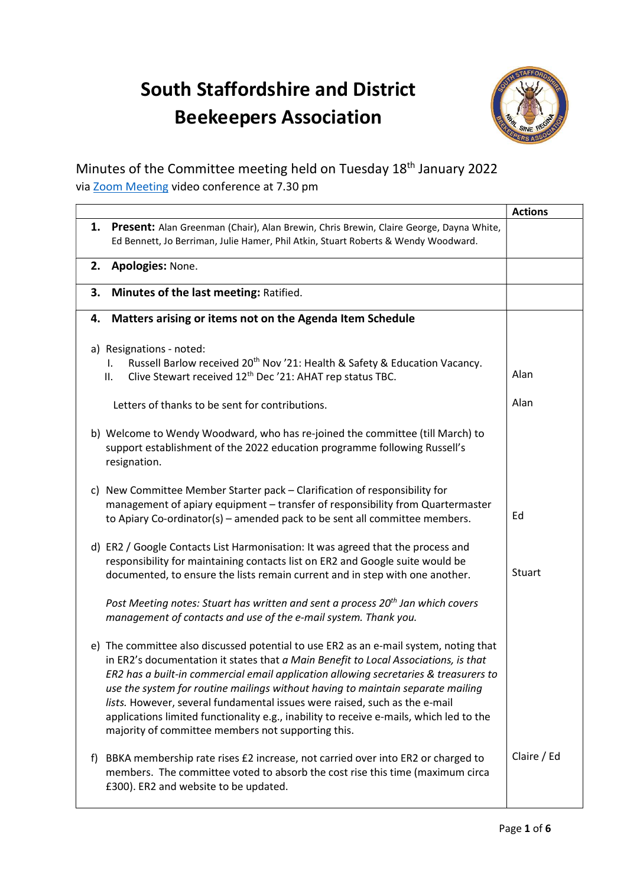## South Staffordshire and District Beekeepers Association



## Minutes of the Committee meeting held on Tuesday 18th January 2022 via Zoom Meeting video conference at 7.30 pm

|    |                                                                                                                                                                                                                                                                                                                                                                                                                                                                                                                                                                                        | <b>Actions</b> |
|----|----------------------------------------------------------------------------------------------------------------------------------------------------------------------------------------------------------------------------------------------------------------------------------------------------------------------------------------------------------------------------------------------------------------------------------------------------------------------------------------------------------------------------------------------------------------------------------------|----------------|
|    | 1. Present: Alan Greenman (Chair), Alan Brewin, Chris Brewin, Claire George, Dayna White,<br>Ed Bennett, Jo Berriman, Julie Hamer, Phil Atkin, Stuart Roberts & Wendy Woodward.                                                                                                                                                                                                                                                                                                                                                                                                        |                |
|    | 2. Apologies: None.                                                                                                                                                                                                                                                                                                                                                                                                                                                                                                                                                                    |                |
|    | 3. Minutes of the last meeting: Ratified.                                                                                                                                                                                                                                                                                                                                                                                                                                                                                                                                              |                |
|    | Matters arising or items not on the Agenda Item Schedule<br>4.                                                                                                                                                                                                                                                                                                                                                                                                                                                                                                                         |                |
|    | a) Resignations - noted:<br>Russell Barlow received 20 <sup>th</sup> Nov '21: Health & Safety & Education Vacancy.<br>L.<br>Clive Stewart received 12 <sup>th</sup> Dec '21: AHAT rep status TBC.<br>П.                                                                                                                                                                                                                                                                                                                                                                                | Alan           |
|    | Letters of thanks to be sent for contributions.                                                                                                                                                                                                                                                                                                                                                                                                                                                                                                                                        | Alan           |
|    | b) Welcome to Wendy Woodward, who has re-joined the committee (till March) to<br>support establishment of the 2022 education programme following Russell's<br>resignation.                                                                                                                                                                                                                                                                                                                                                                                                             |                |
|    | New Committee Member Starter pack - Clarification of responsibility for<br>C)<br>management of apiary equipment - transfer of responsibility from Quartermaster<br>to Apiary Co-ordinator(s) - amended pack to be sent all committee members.                                                                                                                                                                                                                                                                                                                                          | Ed             |
|    | d) ER2 / Google Contacts List Harmonisation: It was agreed that the process and<br>responsibility for maintaining contacts list on ER2 and Google suite would be<br>documented, to ensure the lists remain current and in step with one another.                                                                                                                                                                                                                                                                                                                                       | Stuart         |
|    | Post Meeting notes: Stuart has written and sent a process 20 <sup>th</sup> Jan which covers<br>management of contacts and use of the e-mail system. Thank you.                                                                                                                                                                                                                                                                                                                                                                                                                         |                |
|    | e) The committee also discussed potential to use ER2 as an e-mail system, noting that<br>in ER2's documentation it states that a Main Benefit to Local Associations, is that<br>ER2 has a built-in commercial email application allowing secretaries & treasurers to<br>use the system for routine mailings without having to maintain separate mailing<br>lists. However, several fundamental issues were raised, such as the e-mail<br>applications limited functionality e.g., inability to receive e-mails, which led to the<br>majority of committee members not supporting this. |                |
| t) | BBKA membership rate rises £2 increase, not carried over into ER2 or charged to<br>members. The committee voted to absorb the cost rise this time (maximum circa<br>£300). ER2 and website to be updated.                                                                                                                                                                                                                                                                                                                                                                              | Claire / Ed    |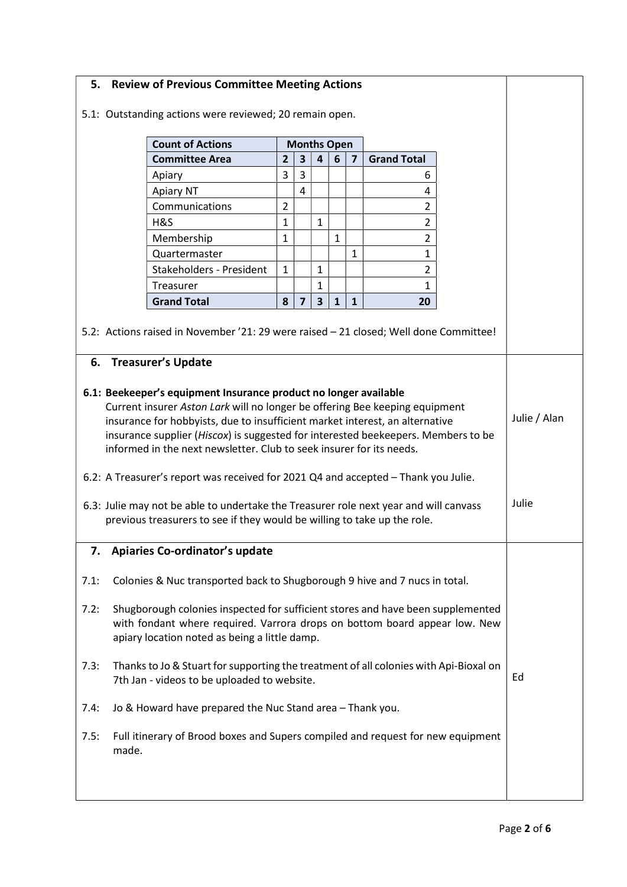## 5. Review of Previous Committee Meeting Actions 5.1: Outstanding actions were reviewed; 20 remain open. Count of Actions Months Open Committee Area 2 3 4 6 7 Grand Total Apiary 3 3 6 Apiary NT 4 4 Communications 2 2 H&S 1 1 2 Membership 1 1 2 Quartermaster 1 1 Stakeholders - President 1 1 2 Treasurer 1 1 Grand Total  $|8|7|3|1|1|$  20 5.2: Actions raised in November '21: 29 were raised – 21 closed; Well done Committee! 6. Treasurer's Update 6.1: Beekeeper's equipment Insurance product no longer available Current insurer Aston Lark will no longer be offering Bee keeping equipment insurance for hobbyists, due to insufficient market interest, an alternative insurance supplier (Hiscox) is suggested for interested beekeepers. Members to be informed in the next newsletter. Club to seek insurer for its needs. 6.2: A Treasurer's report was received for 2021 Q4 and accepted – Thank you Julie. 6.3: Julie may not be able to undertake the Treasurer role next year and will canvass previous treasurers to see if they would be willing to take up the role. Julie / Alan Julie 7. Apiaries Co-ordinator's update 7.1: Colonies & Nuc transported back to Shugborough 9 hive and 7 nucs in total. 7.2: Shugborough colonies inspected for sufficient stores and have been supplemented with fondant where required. Varrora drops on bottom board appear low. New apiary location noted as being a little damp. 7.3: Thanks to Jo & Stuart for supporting the treatment of all colonies with Api-Bioxal on 7th Jan - videos to be uploaded to website. 7.4: Jo & Howard have prepared the Nuc Stand area – Thank you. 7.5: Full itinerary of Brood boxes and Supers compiled and request for new equipment made. Ed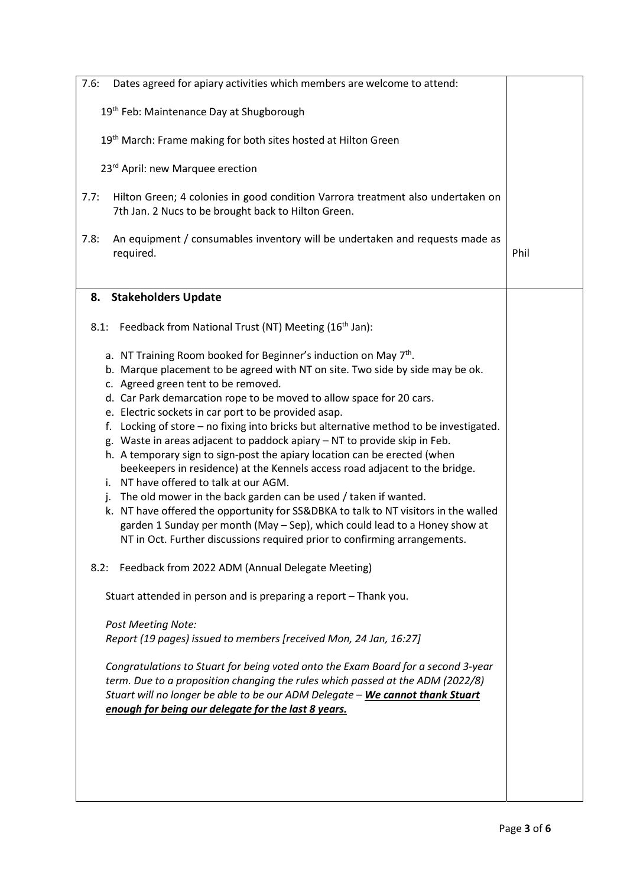| 7.6:<br>Dates agreed for apiary activities which members are welcome to attend:                                                                                                                                                                                                                                                                                                                                                                                                                                                                                                                                                                                                                                                                                                                                                                                                                                                                                                                                                                                                                                                                                           |      |
|---------------------------------------------------------------------------------------------------------------------------------------------------------------------------------------------------------------------------------------------------------------------------------------------------------------------------------------------------------------------------------------------------------------------------------------------------------------------------------------------------------------------------------------------------------------------------------------------------------------------------------------------------------------------------------------------------------------------------------------------------------------------------------------------------------------------------------------------------------------------------------------------------------------------------------------------------------------------------------------------------------------------------------------------------------------------------------------------------------------------------------------------------------------------------|------|
| 19 <sup>th</sup> Feb: Maintenance Day at Shugborough                                                                                                                                                                                                                                                                                                                                                                                                                                                                                                                                                                                                                                                                                                                                                                                                                                                                                                                                                                                                                                                                                                                      |      |
| 19 <sup>th</sup> March: Frame making for both sites hosted at Hilton Green                                                                                                                                                                                                                                                                                                                                                                                                                                                                                                                                                                                                                                                                                                                                                                                                                                                                                                                                                                                                                                                                                                |      |
| 23rd April: new Marquee erection                                                                                                                                                                                                                                                                                                                                                                                                                                                                                                                                                                                                                                                                                                                                                                                                                                                                                                                                                                                                                                                                                                                                          |      |
| Hilton Green; 4 colonies in good condition Varrora treatment also undertaken on<br>7.7:<br>7th Jan. 2 Nucs to be brought back to Hilton Green.                                                                                                                                                                                                                                                                                                                                                                                                                                                                                                                                                                                                                                                                                                                                                                                                                                                                                                                                                                                                                            |      |
| An equipment / consumables inventory will be undertaken and requests made as<br>7.8:<br>required.                                                                                                                                                                                                                                                                                                                                                                                                                                                                                                                                                                                                                                                                                                                                                                                                                                                                                                                                                                                                                                                                         | Phil |
| 8. Stakeholders Update                                                                                                                                                                                                                                                                                                                                                                                                                                                                                                                                                                                                                                                                                                                                                                                                                                                                                                                                                                                                                                                                                                                                                    |      |
| 8.1: Feedback from National Trust (NT) Meeting (16 <sup>th</sup> Jan):                                                                                                                                                                                                                                                                                                                                                                                                                                                                                                                                                                                                                                                                                                                                                                                                                                                                                                                                                                                                                                                                                                    |      |
| a. NT Training Room booked for Beginner's induction on May 7 <sup>th</sup> .<br>b. Marque placement to be agreed with NT on site. Two side by side may be ok.<br>c. Agreed green tent to be removed.<br>d. Car Park demarcation rope to be moved to allow space for 20 cars.<br>e. Electric sockets in car port to be provided asap.<br>f. Locking of store – no fixing into bricks but alternative method to be investigated.<br>g. Waste in areas adjacent to paddock apiary - NT to provide skip in Feb.<br>h. A temporary sign to sign-post the apiary location can be erected (when<br>beekeepers in residence) at the Kennels access road adjacent to the bridge.<br>i. NT have offered to talk at our AGM.<br>j. The old mower in the back garden can be used / taken if wanted.<br>k. NT have offered the opportunity for SS&DBKA to talk to NT visitors in the walled<br>garden 1 Sunday per month (May - Sep), which could lead to a Honey show at<br>NT in Oct. Further discussions required prior to confirming arrangements.<br>Feedback from 2022 ADM (Annual Delegate Meeting)<br>8.2:<br>Stuart attended in person and is preparing a report - Thank you. |      |
| <b>Post Meeting Note:</b><br>Report (19 pages) issued to members [received Mon, 24 Jan, 16:27]                                                                                                                                                                                                                                                                                                                                                                                                                                                                                                                                                                                                                                                                                                                                                                                                                                                                                                                                                                                                                                                                            |      |
| Congratulations to Stuart for being voted onto the Exam Board for a second 3-year<br>term. Due to a proposition changing the rules which passed at the ADM (2022/8)<br>Stuart will no longer be able to be our ADM Delegate - We cannot thank Stuart<br>enough for being our delegate for the last 8 years.                                                                                                                                                                                                                                                                                                                                                                                                                                                                                                                                                                                                                                                                                                                                                                                                                                                               |      |
|                                                                                                                                                                                                                                                                                                                                                                                                                                                                                                                                                                                                                                                                                                                                                                                                                                                                                                                                                                                                                                                                                                                                                                           |      |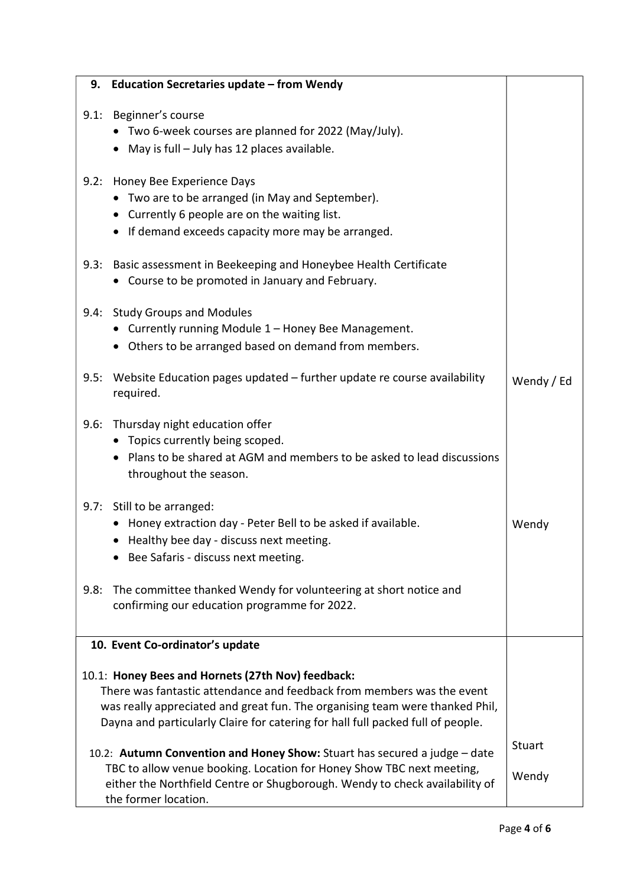|      | 9. Education Secretaries update - from Wendy                                                                                                                                                                                                                                                   |                        |
|------|------------------------------------------------------------------------------------------------------------------------------------------------------------------------------------------------------------------------------------------------------------------------------------------------|------------------------|
|      | 9.1: Beginner's course<br>• Two 6-week courses are planned for 2022 (May/July).<br>• May is full - July has 12 places available.                                                                                                                                                               |                        |
|      | 9.2: Honey Bee Experience Days<br>• Two are to be arranged (in May and September).<br>• Currently 6 people are on the waiting list.<br>• If demand exceeds capacity more may be arranged.                                                                                                      |                        |
|      | 9.3: Basic assessment in Beekeeping and Honeybee Health Certificate<br>• Course to be promoted in January and February.                                                                                                                                                                        |                        |
|      | 9.4: Study Groups and Modules<br>• Currently running Module 1 - Honey Bee Management.<br>• Others to be arranged based on demand from members.                                                                                                                                                 |                        |
|      | 9.5: Website Education pages updated - further update re course availability<br>required.                                                                                                                                                                                                      | Wendy / Ed             |
|      | 9.6: Thursday night education offer<br>• Topics currently being scoped.<br>• Plans to be shared at AGM and members to be asked to lead discussions<br>throughout the season.                                                                                                                   |                        |
|      | 9.7: Still to be arranged:<br>• Honey extraction day - Peter Bell to be asked if available.<br>• Healthy bee day - discuss next meeting.<br>Bee Safaris - discuss next meeting.                                                                                                                | Wendy                  |
| 9.8: | The committee thanked Wendy for volunteering at short notice and<br>confirming our education programme for 2022.                                                                                                                                                                               |                        |
|      | 10. Event Co-ordinator's update                                                                                                                                                                                                                                                                |                        |
|      | 10.1: Honey Bees and Hornets (27th Nov) feedback:<br>There was fantastic attendance and feedback from members was the event<br>was really appreciated and great fun. The organising team were thanked Phil,<br>Dayna and particularly Claire for catering for hall full packed full of people. |                        |
|      | 10.2: Autumn Convention and Honey Show: Stuart has secured a judge - date<br>TBC to allow venue booking. Location for Honey Show TBC next meeting,<br>either the Northfield Centre or Shugborough. Wendy to check availability of<br>the former location.                                      | <b>Stuart</b><br>Wendy |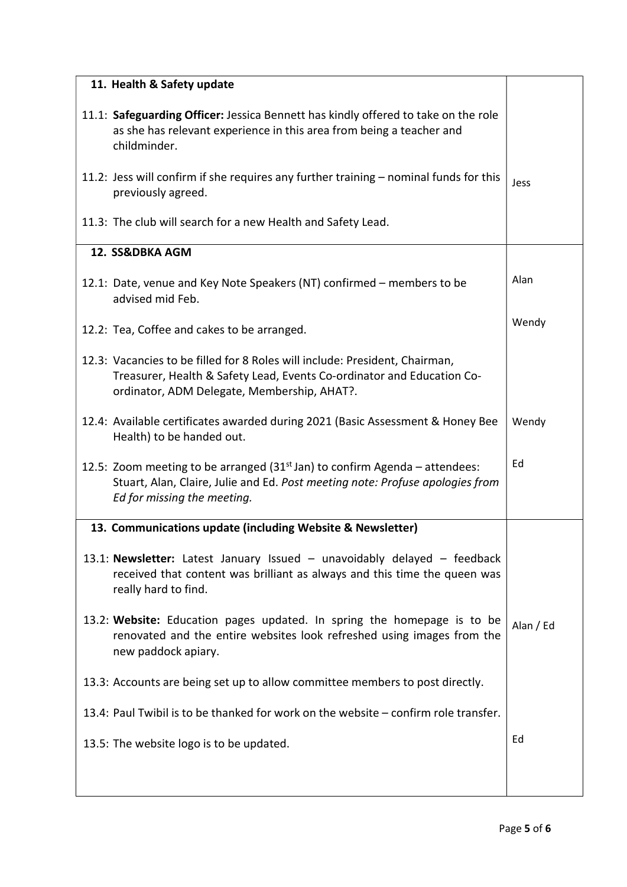| 11. Health & Safety update                                                                                                                                                                           |           |
|------------------------------------------------------------------------------------------------------------------------------------------------------------------------------------------------------|-----------|
| 11.1: Safeguarding Officer: Jessica Bennett has kindly offered to take on the role<br>as she has relevant experience in this area from being a teacher and<br>childminder.                           |           |
| 11.2: Jess will confirm if she requires any further training $-$ nominal funds for this<br>previously agreed.                                                                                        | Jess      |
| 11.3: The club will search for a new Health and Safety Lead.                                                                                                                                         |           |
| 12. SS&DBKA AGM                                                                                                                                                                                      |           |
| 12.1: Date, venue and Key Note Speakers (NT) confirmed – members to be<br>advised mid Feb.                                                                                                           | Alan      |
| 12.2: Tea, Coffee and cakes to be arranged.                                                                                                                                                          | Wendy     |
| 12.3: Vacancies to be filled for 8 Roles will include: President, Chairman,<br>Treasurer, Health & Safety Lead, Events Co-ordinator and Education Co-<br>ordinator, ADM Delegate, Membership, AHAT?. |           |
| 12.4: Available certificates awarded during 2021 (Basic Assessment & Honey Bee<br>Health) to be handed out.                                                                                          | Wendy     |
| 12.5: Zoom meeting to be arranged ( $31st$ Jan) to confirm Agenda – attendees:<br>Stuart, Alan, Claire, Julie and Ed. Post meeting note: Profuse apologies from<br>Ed for missing the meeting.       | Ed        |
| 13. Communications update (including Website & Newsletter)                                                                                                                                           |           |
| 13.1: Newsletter: Latest January Issued $-$ unavoidably delayed $-$ feedback<br>received that content was brilliant as always and this time the queen was<br>really hard to find.                    |           |
| 13.2: Website: Education pages updated. In spring the homepage is to be<br>renovated and the entire websites look refreshed using images from the<br>new paddock apiary.                             | Alan / Ed |
| 13.3: Accounts are being set up to allow committee members to post directly.                                                                                                                         |           |
| 13.4: Paul Twibil is to be thanked for work on the website – confirm role transfer.                                                                                                                  |           |
| 13.5: The website logo is to be updated.                                                                                                                                                             | Ed        |
|                                                                                                                                                                                                      |           |